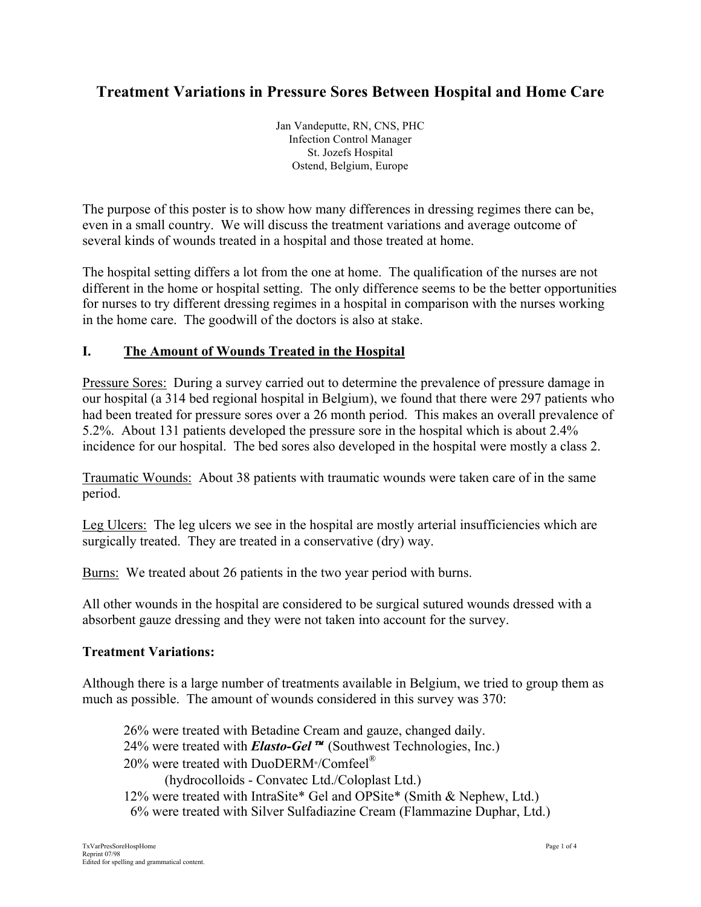# **Treatment Variations in Pressure Sores Between Hospital and Home Care**

Jan Vandeputte, RN, CNS, PHC Infection Control Manager St. Jozefs Hospital Ostend, Belgium, Europe

The purpose of this poster is to show how many differences in dressing regimes there can be, even in a small country. We will discuss the treatment variations and average outcome of several kinds of wounds treated in a hospital and those treated at home.

The hospital setting differs a lot from the one at home. The qualification of the nurses are not different in the home or hospital setting. The only difference seems to be the better opportunities for nurses to try different dressing regimes in a hospital in comparison with the nurses working in the home care. The goodwill of the doctors is also at stake.

#### **I. The Amount of Wounds Treated in the Hospital**

Pressure Sores: During a survey carried out to determine the prevalence of pressure damage in our hospital (a 314 bed regional hospital in Belgium), we found that there were 297 patients who had been treated for pressure sores over a 26 month period. This makes an overall prevalence of 5.2%. About 131 patients developed the pressure sore in the hospital which is about 2.4% incidence for our hospital. The bed sores also developed in the hospital were mostly a class 2.

Traumatic Wounds: About 38 patients with traumatic wounds were taken care of in the same period.

Leg Ulcers: The leg ulcers we see in the hospital are mostly arterial insufficiencies which are surgically treated. They are treated in a conservative (dry) way.

Burns: We treated about 26 patients in the two year period with burns.

All other wounds in the hospital are considered to be surgical sutured wounds dressed with a absorbent gauze dressing and they were not taken into account for the survey.

#### **Treatment Variations:**

Although there is a large number of treatments available in Belgium, we tried to group them as much as possible. The amount of wounds considered in this survey was 370:

26% were treated with Betadine Cream and gauze, changed daily. 24% were treated with *Elasto-Gel* ™ (Southwest Technologies, Inc.) 20% were treated with DuoDERM<sup>®</sup>/Comfeel<sup>®</sup> (hydrocolloids - Convatec Ltd./Coloplast Ltd.) 12% were treated with IntraSite\* Gel and OPSite\* (Smith & Nephew, Ltd.) 6% were treated with Silver Sulfadiazine Cream (Flammazine Duphar, Ltd.)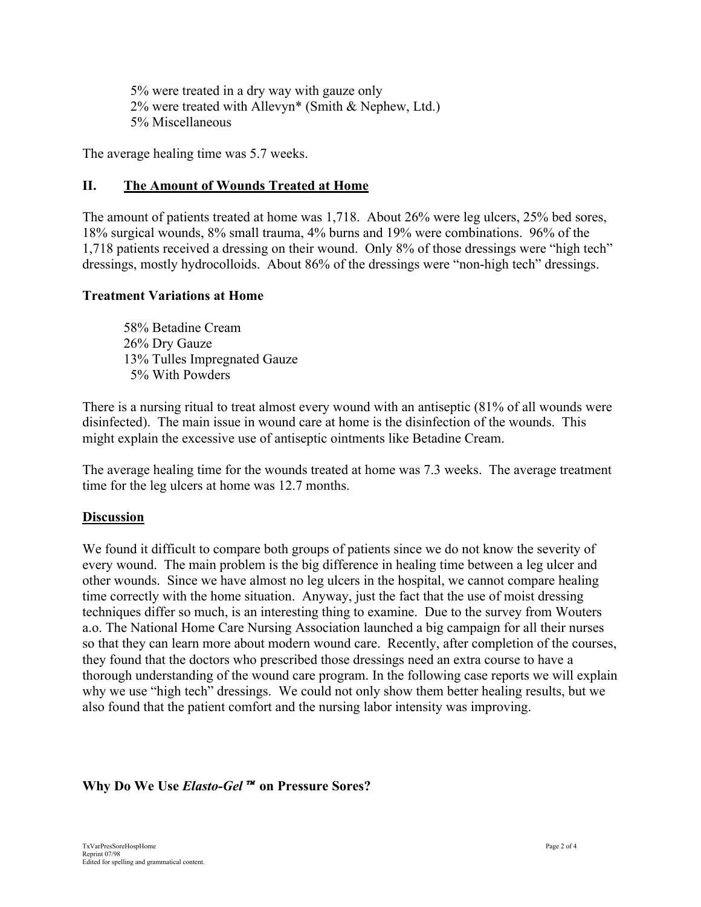5% were treated in a dry way with gauze only 2% were treated with Allevyn\* (Smith & Nephew, Ltd.) 5% Miscellaneous

The average healing time was 5.7 weeks.

## **II. The Amount of Wounds Treated at Home**

The amount of patients treated at home was 1,718. About 26% were leg ulcers, 25% bed sores, 18% surgical wounds, 8% small trauma, 4% burns and 19% were combinations. 96% of the 1,718 patients received a dressing on their wound. Only 8% of those dressings were "high tech" dressings, mostly hydrocolloids. About 86% of the dressings were "non-high tech" dressings.

#### **Treatment Variations at Home**

58% Betadine Cream 26% Dry Gauze 13% Tulles Impregnated Gauze 5% With Powders

There is a nursing ritual to treat almost every wound with an antiseptic (81% of all wounds were disinfected). The main issue in wound care at home is the disinfection of the wounds. This might explain the excessive use of antiseptic ointments like Betadine Cream.

The average healing time for the wounds treated at home was 7.3 weeks. The average treatment time for the leg ulcers at home was 12.7 months.

## **Discussion**

We found it difficult to compare both groups of patients since we do not know the severity of every wound. The main problem is the big difference in healing time between a leg ulcer and other wounds. Since we have almost no leg ulcers in the hospital, we cannot compare healing time correctly with the home situation. Anyway, just the fact that the use of moist dressing techniques differ so much, is an interesting thing to examine. Due to the survey from Wouters a.o. The National Home Care Nursing Association launched a big campaign for all their nurses so that they can learn more about modern wound care. Recently, after completion of the courses, they found that the doctors who prescribed those dressings need an extra course to have a thorough understanding of the wound care program. In the following case reports we will explain why we use "high tech" dressings. We could not only show them better healing results, but we also found that the patient comfort and the nursing labor intensity was improving.

## **Why Do We Use Elasto-Gel**<sup>™</sup> on Pressure Sores?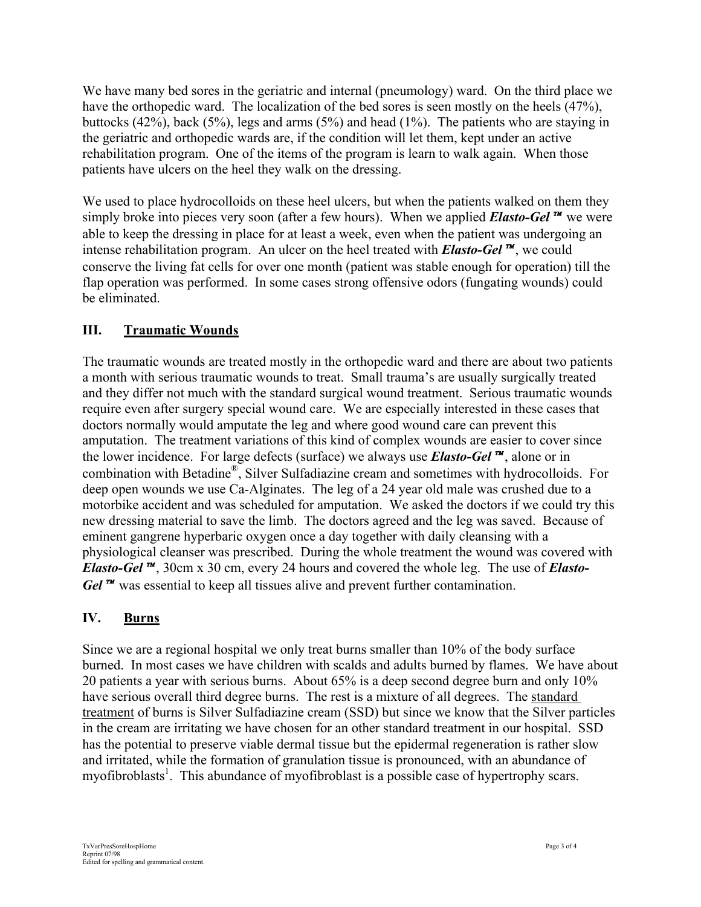We have many bed sores in the geriatric and internal (pneumology) ward. On the third place we have the orthopedic ward. The localization of the bed sores is seen mostly on the heels (47%), buttocks (42%), back (5%), legs and arms (5%) and head (1%). The patients who are staying in the geriatric and orthopedic wards are, if the condition will let them, kept under an active rehabilitation program. One of the items of the program is learn to walk again. When those patients have ulcers on the heel they walk on the dressing.

We used to place hydrocolloids on these heel ulcers, but when the patients walked on them they simply broke into pieces very soon (after a few hours). When we applied **Elasto-Gel**<sup>*m*</sup> we were able to keep the dressing in place for at least a week, even when the patient was undergoing an intense rehabilitation program. An ulcer on the heel treated with *Elasto-Gel*, we could conserve the living fat cells for over one month (patient was stable enough for operation) till the flap operation was performed. In some cases strong offensive odors (fungating wounds) could be eliminated.

## **III. Traumatic Wounds**

The traumatic wounds are treated mostly in the orthopedic ward and there are about two patients a month with serious traumatic wounds to treat. Small trauma's are usually surgically treated and they differ not much with the standard surgical wound treatment. Serious traumatic wounds require even after surgery special wound care. We are especially interested in these cases that doctors normally would amputate the leg and where good wound care can prevent this amputation. The treatment variations of this kind of complex wounds are easier to cover since the lower incidence. For large defects (surface) we always use *Elasto-Gel*, alone or in combination with Betadine®, Silver Sulfadiazine cream and sometimes with hydrocolloids. For deep open wounds we use Ca-Alginates. The leg of a 24 year old male was crushed due to a motorbike accident and was scheduled for amputation. We asked the doctors if we could try this new dressing material to save the limb. The doctors agreed and the leg was saved. Because of eminent gangrene hyperbaric oxygen once a day together with daily cleansing with a physiological cleanser was prescribed. During the whole treatment the wound was covered with *Elasto-Gel*, 30cm x 30 cm, every 24 hours and covered the whole leg. The use of *Elasto-Gel* <sup>*m*</sup> was essential to keep all tissues alive and prevent further contamination.

## **IV. Burns**

Since we are a regional hospital we only treat burns smaller than 10% of the body surface burned. In most cases we have children with scalds and adults burned by flames. We have about 20 patients a year with serious burns. About 65% is a deep second degree burn and only 10% have serious overall third degree burns. The rest is a mixture of all degrees. The standard treatment of burns is Silver Sulfadiazine cream (SSD) but since we know that the Silver particles in the cream are irritating we have chosen for an other standard treatment in our hospital. SSD has the potential to preserve viable dermal tissue but the epidermal regeneration is rather slow and irritated, while the formation of granulation tissue is pronounced, with an abundance of myofibroblasts<sup>1</sup>. This abundance of myofibroblast is a possible case of hypertrophy scars.